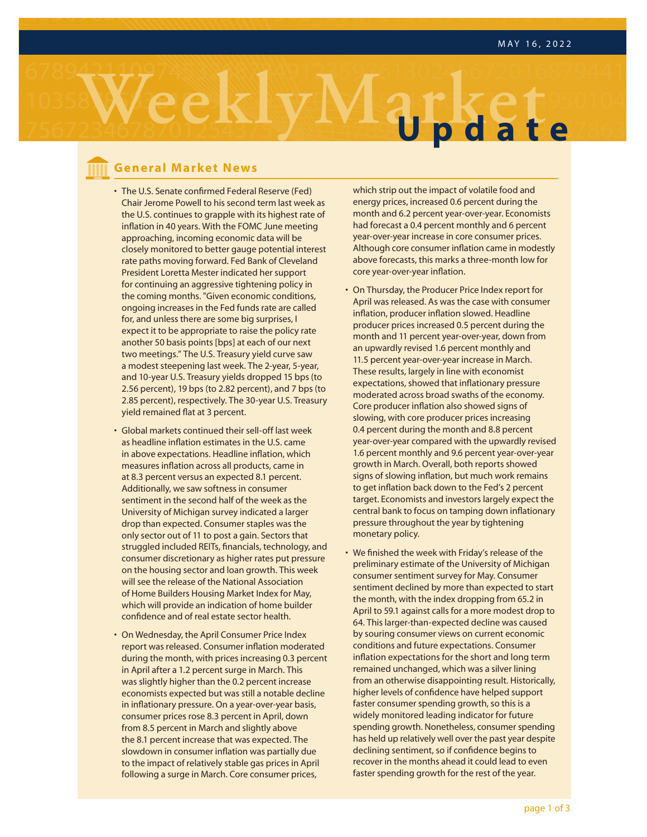

### **General Market News**

- **Chair Jerome Powell to his second term last week as** • The U.S. Senate confirmed Federal Reserve (Fed) the U.S. continues to grapple with its highest rate of inflation in 40 years. With the FOMC June meeting approaching, incoming economic data will be closely monitored to better gauge potential interest rate paths moving forward. Fed Bank of Cleveland President Loretta Mester indicated her support for continuing an aggressive tightening policy in the coming months. "Given economic conditions, ongoing increases in the Fed funds rate are called for, and unless there are some big surprises, I expect it to be appropriate to raise the policy rate another 50 basis points [bps] at each of our next two meetings." The U.S. Treasury yield curve saw a modest steepening last week. The 2-year, 5-year, and 10-year U.S. Treasury yields dropped 15 bps (to 2.56 percent), 19 bps (to 2.82 percent), and 7 bps (to 2.85 percent), respectively. The 30-year U.S. Treasury yield remained flat at 3 percent.
- Global markets continued their sell-off last week as headline inflation estimates in the U.S. came in above expectations. Headline inflation, which measures inflation across all products, came in at 8.3 percent versus an expected 8.1 percent. Additionally, we saw softness in consumer sentiment in the second half of the week as the University of Michigan survey indicated a larger drop than expected. Consumer staples was the only sector out of 11 to post a gain. Sectors that struggled included REITs, financials, technology, and consumer discretionary as higher rates put pressure on the housing sector and loan growth. This week will see the release of the National Association of Home Builders Housing Market Index for May, which will provide an indication of home builder confidence and of real estate sector health.
- On Wednesday, the April Consumer Price Index report was released. Consumer inflation moderated during the month, with prices increasing 0.3 percent in April after a 1.2 percent surge in March. This was slightly higher than the 0.2 percent increase economists expected but was still a notable decline in inflationary pressure. On a year-over-year basis, consumer prices rose 8.3 percent in April, down from 8.5 percent in March and slightly above the 8.1 percent increase that was expected. The slowdown in consumer inflation was partially due to the impact of relatively stable gas prices in April following a surge in March. Core consumer prices,

which strip out the impact of volatile food and energy prices, increased 0.6 percent during the month and 6.2 percent year-over-year. Economists had forecast a 0.4 percent monthly and 6 percent year-over-year increase in core consumer prices. Although core consumer inflation came in modestly above forecasts, this marks a three-month low for core year-over-year inflation.

- On Thursday, the Producer Price Index report for April was released. As was the case with consumer inflation, producer inflation slowed. Headline producer prices increased 0.5 percent during the month and 11 percent year-over-year, down from an upwardly revised 1.6 percent monthly and 11.5 percent year-over-year increase in March. These results, largely in line with economist expectations, showed that inflationary pressure moderated across broad swaths of the economy. Core producer inflation also showed signs of slowing, with core producer prices increasing 0.4 percent during the month and 8.8 percent year-over-year compared with the upwardly revised 1.6 percent monthly and 9.6 percent year-over-year growth in March. Overall, both reports showed signs of slowing inflation, but much work remains to get inflation back down to the Fed's 2 percent target. Economists and investors largely expect the central bank to focus on tamping down inflationary pressure throughout the year by tightening monetary policy.
- We finished the week with Friday's release of the preliminary estimate of the University of Michigan consumer sentiment survey for May. Consumer sentiment declined by more than expected to start the month, with the index dropping from 65.2 in April to 59.1 against calls for a more modest drop to 64. This larger-than-expected decline was caused by souring consumer views on current economic conditions and future expectations. Consumer inflation expectations for the short and long term remained unchanged, which was a silver lining from an otherwise disappointing result. Historically, higher levels of confidence have helped support faster consumer spending growth, so this is a widely monitored leading indicator for future spending growth. Nonetheless, consumer spending has held up relatively well over the past year despite declining sentiment, so if confidence begins to recover in the months ahead it could lead to even faster spending growth for the rest of the year.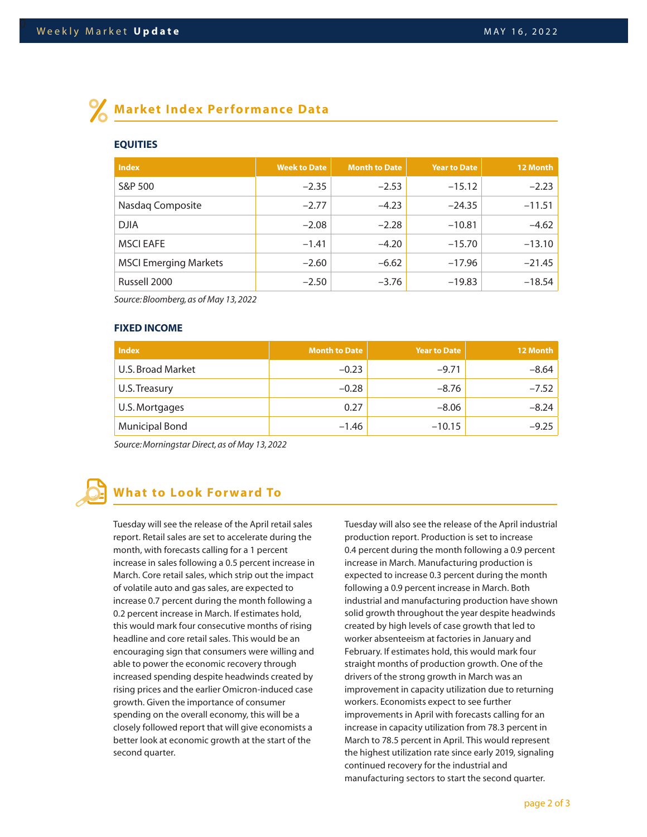## **Market Index Performance Data**

#### **EQUITIES**

| <b>Index</b>                 | <b>Week to Date</b> | <b>Month to Date</b> | <b>Year to Date</b> | 12 Month |
|------------------------------|---------------------|----------------------|---------------------|----------|
| S&P 500                      | $-2.35$             | $-2.53$              | $-15.12$            | $-2.23$  |
| Nasdaq Composite             | $-2.77$             | $-4.23$              | $-24.35$            | $-11.51$ |
| <b>DJIA</b>                  | $-2.08$             | $-2.28$              | $-10.81$            | $-4.62$  |
| <b>MSCI EAFE</b>             | $-1.41$             | $-4.20$              | $-15.70$            | $-13.10$ |
| <b>MSCI Emerging Markets</b> | $-2.60$             | $-6.62$              | $-17.96$            | $-21.45$ |
| Russell 2000                 | $-2.50$             | $-3.76$              | $-19.83$            | $-18.54$ |

*Source: Bloomberg, as of May 13, 2022*

#### **FIXED INCOME**

| <b>Index</b>          | <b>Month to Date</b> | <b>Year to Date</b> | 12 Month |
|-----------------------|----------------------|---------------------|----------|
| U.S. Broad Market     | $-0.23$              | $-9.71$             | $-8.64$  |
| U.S. Treasury         | $-0.28$              | $-8.76$             | $-7.52$  |
| U.S. Mortgages        | 0.27                 | $-8.06$             | $-8.24$  |
| <b>Municipal Bond</b> | $-1.46$              | $-10.15$            | $-9.25$  |

*Source: Morningstar Direct, as of May 13, 2022*

# **What to Look Forward To**

Tuesday will see the release of the April retail sales report. Retail sales are set to accelerate during the month, with forecasts calling for a 1 percent increase in sales following a 0.5 percent increase in March. Core retail sales, which strip out the impact of volatile auto and gas sales, are expected to increase 0.7 percent during the month following a 0.2 percent increase in March. If estimates hold, this would mark four consecutive months of rising headline and core retail sales. This would be an encouraging sign that consumers were willing and able to power the economic recovery through increased spending despite headwinds created by rising prices and the earlier Omicron-induced case growth. Given the importance of consumer spending on the overall economy, this will be a closely followed report that will give economists a better look at economic growth at the start of the second quarter.

Tuesday will also see the release of the April industrial production report. Production is set to increase 0.4 percent during the month following a 0.9 percent increase in March. Manufacturing production is expected to increase 0.3 percent during the month following a 0.9 percent increase in March. Both industrial and manufacturing production have shown solid growth throughout the year despite headwinds created by high levels of case growth that led to worker absenteeism at factories in January and February. If estimates hold, this would mark four straight months of production growth. One of the drivers of the strong growth in March was an improvement in capacity utilization due to returning workers. Economists expect to see further improvements in April with forecasts calling for an increase in capacity utilization from 78.3 percent in March to 78.5 percent in April. This would represent the highest utilization rate since early 2019, signaling continued recovery for the industrial and manufacturing sectors to start the second quarter.